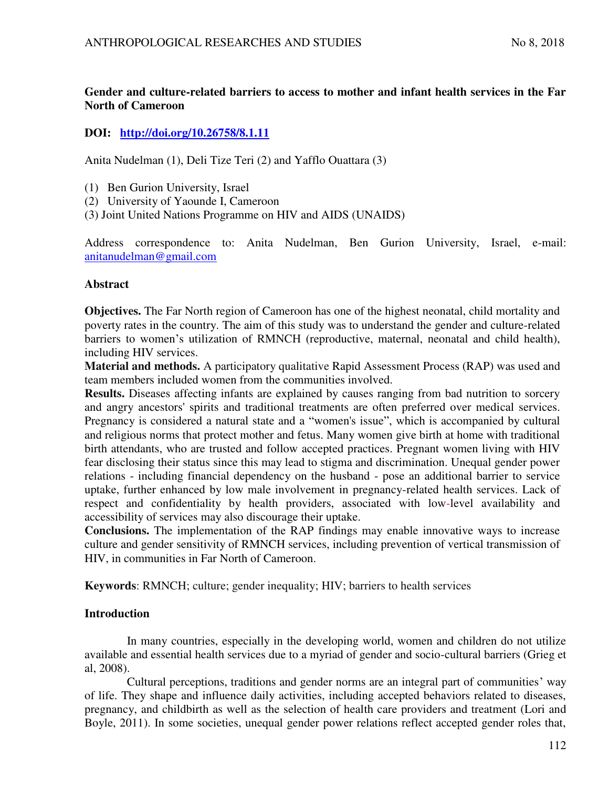# **Gender and culture-related barriers to access to mother and infant health services in the Far North of Cameroon**

# **DOI: <http://doi.org/10.26758/8.1.11>**

Anita Nudelman (1), Deli Tize Teri (2) and Yafflo Ouattara (3)

- (1) Ben Gurion University, Israel
- (2) University of Yaounde I, Cameroon
- (3) Joint [United Nations](https://en.wikipedia.org/wiki/United_Nations) Programme on HIV and AIDS (UNAIDS)

Address correspondence to: Anita Nudelman, Ben Gurion University, Israel, e-mail: [anitanudelman@gmail.com](mailto:anitanudelman@gmail.com)

# **Abstract**

**Objectives.** The Far North region of Cameroon has one of the highest neonatal, child mortality and poverty rates in the country. The aim of this study was to understand the gender and culture-related barriers to women's utilization of RMNCH (reproductive, maternal, neonatal and child health), including HIV services.

**Material and methods.** A participatory qualitative Rapid Assessment Process (RAP) was used and team members included women from the communities involved.

**Results.** Diseases affecting infants are explained by causes ranging from bad nutrition to sorcery and angry ancestors' spirits and traditional treatments are often preferred over medical services. Pregnancy is considered a natural state and a "women's issue", which is accompanied by cultural and religious norms that protect mother and fetus. Many women give birth at home with traditional birth attendants, who are trusted and follow accepted practices. Pregnant women living with HIV fear disclosing their status since this may lead to stigma and discrimination. Unequal gender power relations - including financial dependency on the husband - pose an additional barrier to service uptake, further enhanced by low male involvement in pregnancy-related health services. Lack of respect and confidentiality by health providers, associated with low-level availability and accessibility of services may also discourage their uptake.

**Conclusions.** The implementation of the RAP findings may enable innovative ways to increase culture and gender sensitivity of RMNCH services, including prevention of vertical transmission of HIV, in communities in Far North of Cameroon.

**Keywords**: RMNCH; culture; gender inequality; HIV; barriers to health services

# **Introduction**

In many countries, especially in the developing world, women and children do not utilize available and essential health services due to a myriad of gender and socio-cultural barriers (Grieg et al, 2008).

Cultural perceptions, traditions and gender norms are an integral part of communities' way of life. They shape and influence daily activities, including accepted behaviors related to diseases, pregnancy, and childbirth as well as the selection of health care providers and treatment (Lori and Boyle, 2011). In some societies, unequal gender power relations reflect accepted gender roles that,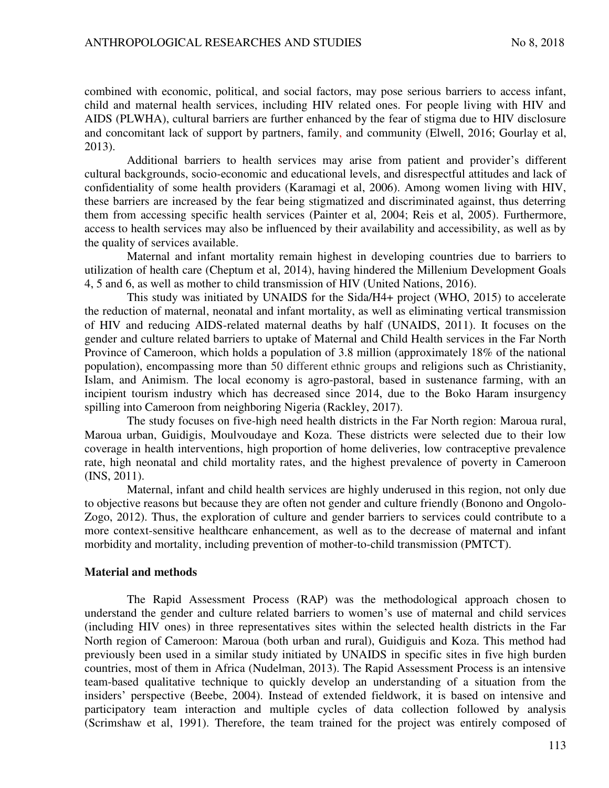combined with economic, political, and social factors, may pose serious barriers to access infant, child and maternal health services, including HIV related ones. For people living with HIV and AIDS (PLWHA), cultural barriers are further enhanced by the fear of stigma due to HIV disclosure and concomitant lack of support by partners, family, and community (Elwell, 2016; Gourlay et al, 2013).

Additional barriers to health services may arise from patient and provider's different cultural backgrounds, socio-economic and educational levels, and disrespectful attitudes and lack of confidentiality of some health providers (Karamagi et al, 2006). Among women living with HIV, these barriers are increased by the fear being stigmatized and discriminated against, thus deterring them from accessing specific health services (Painter et al, 2004; Reis et al, 2005). Furthermore, access to health services may also be influenced by their availability and accessibility, as well as by the quality of services available.

Maternal and infant mortality remain highest in developing countries due to barriers to utilization of health care (Cheptum et al, 2014), having hindered the Millenium Development Goals 4, 5 and 6, as well as mother to child transmission of HIV (United Nations, 2016).

This study was initiated by UNAIDS for the Sida/H4+ project (WHO, 2015) to accelerate the reduction of maternal, neonatal and infant mortality, as well as eliminating vertical transmission of HIV and reducing AIDS-related maternal deaths by half (UNAIDS, 2011). It focuses on the gender and culture related barriers to uptake of Maternal and Child Health services in the Far North Province of Cameroon, which holds a population of 3.8 million (approximately 18% of the national population), encompassing more than 50 different ethnic groups and religions such as Christianity, Islam, and Animism. The local economy is agro-pastoral, based in sustenance farming, with an incipient tourism industry which has decreased since 2014, due to the Boko Haram insurgency spilling into Cameroon from neighboring Nigeria (Rackley, 2017).

The study focuses on five-high need health districts in the Far North region: Maroua rural, Maroua urban, Guidigis, Moulvoudaye and Koza. These districts were selected due to their low coverage in health interventions, high proportion of home deliveries, low contraceptive prevalence rate, high neonatal and child mortality rates, and the highest prevalence of poverty in Cameroon (INS, 2011).

Maternal, infant and child health services are highly underused in this region, not only due to objective reasons but because they are often not gender and culture friendly (Bonono and Ongolo-Zogo, 2012). Thus, the exploration of culture and gender barriers to services could contribute to a more context-sensitive healthcare enhancement, as well as to the decrease of maternal and infant morbidity and mortality, including prevention of mother-to-child transmission (PMTCT).

### **Material and methods**

The Rapid Assessment Process (RAP) was the methodological approach chosen to understand the gender and culture related barriers to women's use of maternal and child services (including HIV ones) in three representatives sites within the selected health districts in the Far North region of Cameroon: Maroua (both urban and rural), Guidiguis and Koza. This method had previously been used in a similar study initiated by UNAIDS in specific sites in five high burden countries, most of them in Africa (Nudelman, 2013). The Rapid Assessment Process is an intensive team-based qualitative technique to quickly develop an understanding of a situation from the insiders' perspective (Beebe, 2004). Instead of extended fieldwork, it is based on intensive and participatory team interaction and multiple cycles of data collection followed by analysis (Scrimshaw et al, 1991). Therefore, the team trained for the project was entirely composed of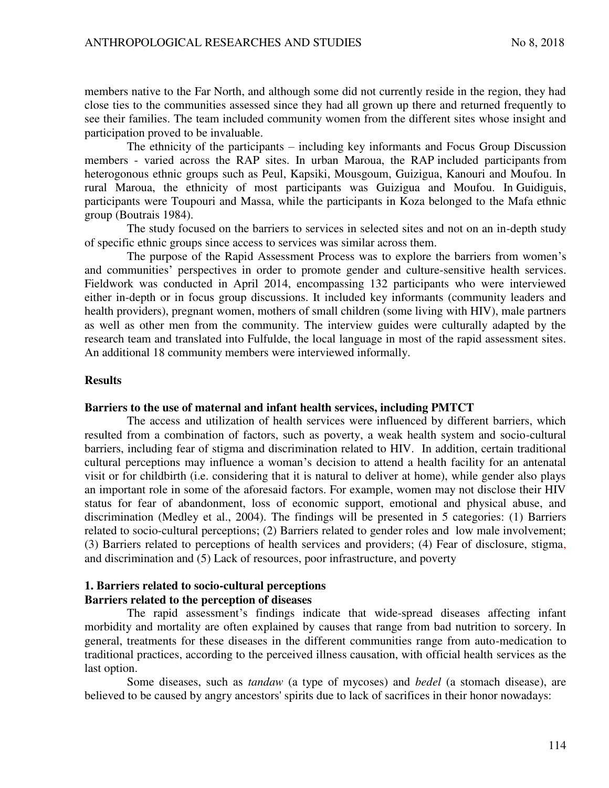members native to the Far North, and although some did not currently reside in the region, they had close ties to the communities assessed since they had all grown up there and returned frequently to see their families. The team included community women from the different sites whose insight and participation proved to be invaluable.

The ethnicity of the participants – including key informants and Focus Group Discussion members - varied across the RAP sites. In urban Maroua, the RAP included participants from heterogonous ethnic groups such as Peul, Kapsiki, Mousgoum, Guizigua, Kanouri and Moufou. In rural Maroua, the ethnicity of most participants was Guizigua and Moufou. In Guidiguis, participants were Toupouri and Massa, while the participants in Koza belonged to the Mafa ethnic group (Boutrais 1984).

The study focused on the barriers to services in selected sites and not on an in-depth study of specific ethnic groups since access to services was similar across them.

The purpose of the Rapid Assessment Process was to explore the barriers from women's and communities' perspectives in order to promote gender and culture-sensitive health services. Fieldwork was conducted in April 2014, encompassing 132 participants who were interviewed either in-depth or in focus group discussions. It included key informants (community leaders and health providers), pregnant women, mothers of small children (some living with HIV), male partners as well as other men from the community. The interview guides were culturally adapted by the research team and translated into Fulfulde, the local language in most of the rapid assessment sites. An additional 18 community members were interviewed informally.

### **Results**

### **Barriers to the use of maternal and infant health services, including PMTCT**

The access and utilization of health services were influenced by different barriers, which resulted from a combination of factors, such as poverty, a weak health system and socio-cultural barriers, including fear of stigma and discrimination related to HIV. In addition, certain traditional cultural perceptions may influence a woman's decision to attend a health facility for an antenatal visit or for childbirth (i.e. considering that it is natural to deliver at home), while gender also plays an important role in some of the aforesaid factors. For example, women may not disclose their HIV status for fear of abandonment, loss of economic support, emotional and physical abuse, and discrimination (Medley et al., 2004). The findings will be presented in 5 categories: (1) Barriers related to socio-cultural perceptions; (2) Barriers related to gender roles and low male involvement; (3) Barriers related to perceptions of health services and providers; (4) Fear of disclosure, stigma, and discrimination and (5) Lack of resources, poor infrastructure, and poverty

### **1. Barriers related to socio-cultural perceptions Barriers related to the perception of diseases**

The rapid assessment's findings indicate that wide-spread diseases affecting infant morbidity and mortality are often explained by causes that range from bad nutrition to sorcery. In general, treatments for these diseases in the different communities range from auto-medication to traditional practices, according to the perceived illness causation, with official health services as the last option.

Some diseases, such as *tandaw* (a type of mycoses) and *bedel* (a stomach disease), are believed to be caused by angry ancestors' spirits due to lack of sacrifices in their honor nowadays: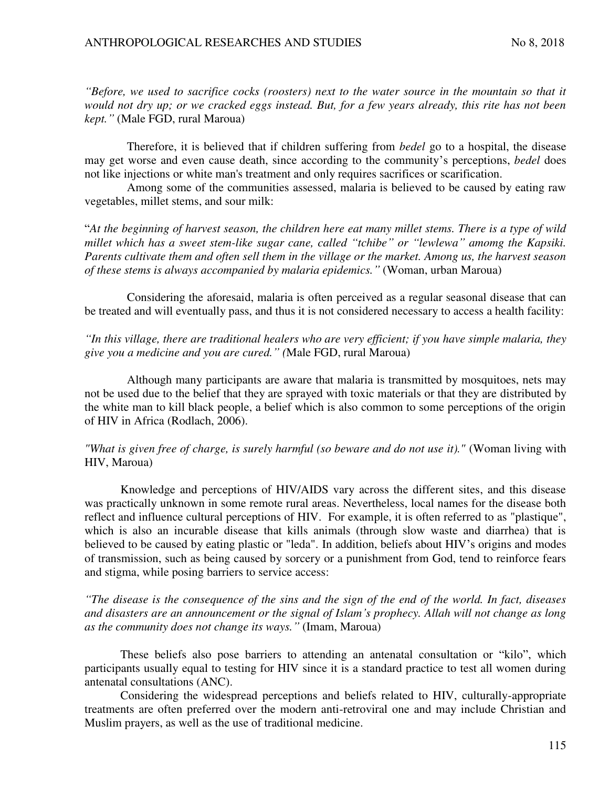*"Before, we used to sacrifice cocks (roosters) next to the water source in the mountain so that it would not dry up; or we cracked eggs instead. But, for a few years already, this rite has not been kept."* (Male FGD, rural Maroua)

Therefore, it is believed that if children suffering from *bedel* go to a hospital, the disease may get worse and even cause death, since according to the community's perceptions, *bedel* does not like injections or white man's treatment and only requires sacrifices or scarification.

Among some of the communities assessed, malaria is believed to be caused by eating raw vegetables, millet stems, and sour milk:

"*At the beginning of harvest season, the children here eat many millet stems. There is a type of wild millet which has a sweet stem-like sugar cane, called "tchibe" or "lewlewa" amomg the Kapsiki. Parents cultivate them and often sell them in the village or the market. Among us, the harvest season of these stems is always accompanied by malaria epidemics."* (Woman, urban Maroua)

Considering the aforesaid, malaria is often perceived as a regular seasonal disease that can be treated and will eventually pass, and thus it is not considered necessary to access a health facility:

*"In this village, there are traditional healers who are very efficient; if you have simple malaria, they give you a medicine and you are cured." (*Male FGD, rural Maroua)

Although many participants are aware that malaria is transmitted by mosquitoes, nets may not be used due to the belief that they are sprayed with toxic materials or that they are distributed by the white man to kill black people, a belief which is also common to some perceptions of the origin of HIV in Africa (Rodlach, 2006).

# *"What is given free of charge, is surely harmful (so beware and do not use it)."* (Woman living with HIV, Maroua)

Knowledge and perceptions of HIV/AIDS vary across the different sites, and this disease was practically unknown in some remote rural areas. Nevertheless, local names for the disease both reflect and influence cultural perceptions of HIV. For example, it is often referred to as "plastique", which is also an incurable disease that kills animals (through slow waste and diarrhea) that is believed to be caused by eating plastic or "leda". In addition, beliefs about HIV's origins and modes of transmission, such as being caused by sorcery or a punishment from God, tend to reinforce fears and stigma, while posing barriers to service access:

*"The disease is the consequence of the sins and the sign of the end of the world. In fact, diseases and disasters are an announcement or the signal of Islam's prophecy. Allah will not change as long as the community does not change its ways."* (Imam, Maroua)

These beliefs also pose barriers to attending an antenatal consultation or "kilo", which participants usually equal to testing for HIV since it is a standard practice to test all women during antenatal consultations (ANC).

Considering the widespread perceptions and beliefs related to HIV, culturally-appropriate treatments are often preferred over the modern anti-retroviral one and may include Christian and Muslim prayers, as well as the use of traditional medicine.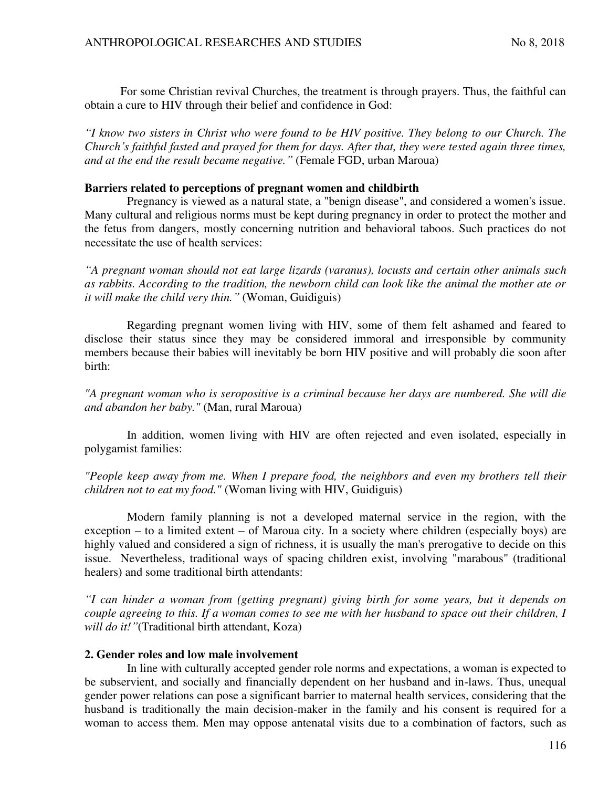For some Christian revival Churches, the treatment is through prayers. Thus, the faithful can obtain a cure to HIV through their belief and confidence in God:

*"I know two sisters in Christ who were found to be HIV positive. They belong to our Church. The Church's faithful fasted and prayed for them for days. After that, they were tested again three times, and at the end the result became negative."* (Female FGD, urban Maroua)

# **Barriers related to perceptions of pregnant women and childbirth**

Pregnancy is viewed as a natural state, a "benign disease", and considered a women's issue. Many cultural and religious norms must be kept during pregnancy in order to protect the mother and the fetus from dangers, mostly concerning nutrition and behavioral taboos. Such practices do not necessitate the use of health services:

*"A pregnant woman should not eat large lizards (varanus), locusts and certain other animals such as rabbits. According to the tradition, the newborn child can look like the animal the mother ate or it will make the child very thin."* (Woman, Guidiguis)

Regarding pregnant women living with HIV, some of them felt ashamed and feared to disclose their status since they may be considered immoral and irresponsible by community members because their babies will inevitably be born HIV positive and will probably die soon after birth:

*"A pregnant woman who is seropositive is a criminal because her days are numbered. She will die and abandon her baby."* (Man, rural Maroua)

In addition, women living with HIV are often rejected and even isolated, especially in polygamist families:

# *"People keep away from me. When I prepare food, the neighbors and even my brothers tell their children not to eat my food."* (Woman living with HIV, Guidiguis)

Modern family planning is not a developed maternal service in the region, with the exception – to a limited extent – of Maroua city. In a society where children (especially boys) are highly valued and considered a sign of richness, it is usually the man's prerogative to decide on this issue. Nevertheless, traditional ways of spacing children exist, involving "marabous" (traditional healers) and some traditional birth attendants:

*"I can hinder a woman from (getting pregnant) giving birth for some years, but it depends on couple agreeing to this. If a woman comes to see me with her husband to space out their children, I will do it!"*(Traditional birth attendant, Koza)

# **2. Gender roles and low male involvement**

In line with culturally accepted gender role norms and expectations, a woman is expected to be subservient, and socially and financially dependent on her husband and in-laws. Thus, unequal gender power relations can pose a significant barrier to maternal health services, considering that the husband is traditionally the main decision-maker in the family and his consent is required for a woman to access them. Men may oppose antenatal visits due to a combination of factors, such as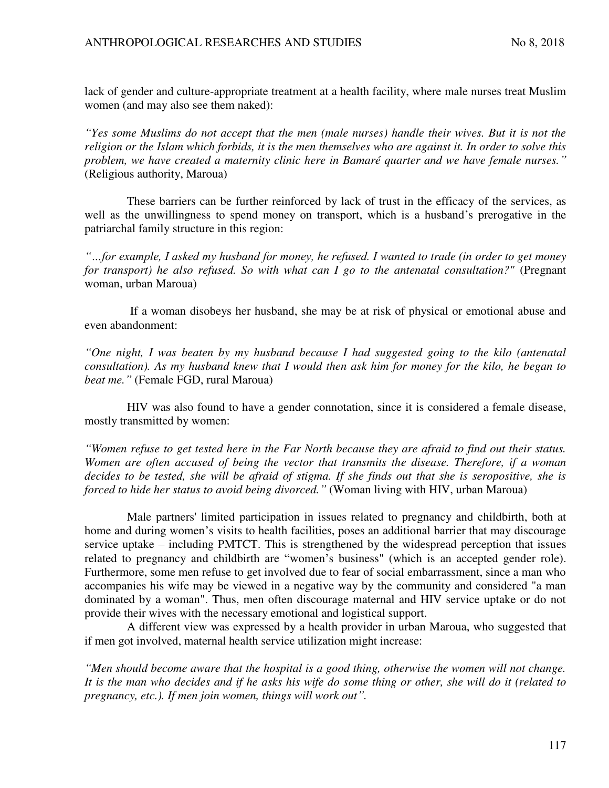lack of gender and culture-appropriate treatment at a health facility, where male nurses treat Muslim women (and may also see them naked):

*"Yes some Muslims do not accept that the men (male nurses) handle their wives. But it is not the religion or the Islam which forbids, it is the men themselves who are against it. In order to solve this problem, we have created a maternity clinic here in Bamaré quarter and we have female nurses."* (Religious authority, Maroua)

These barriers can be further reinforced by lack of trust in the efficacy of the services, as well as the unwillingness to spend money on transport, which is a husband's prerogative in the patriarchal family structure in this region:

*"…for example, I asked my husband for money, he refused. I wanted to trade (in order to get money for transport) he also refused. So with what can I go to the antenatal consultation?"* (Pregnant woman, urban Maroua)

 If a woman disobeys her husband, she may be at risk of physical or emotional abuse and even abandonment:

*"One night, I was beaten by my husband because I had suggested going to the kilo (antenatal consultation). As my husband knew that I would then ask him for money for the kilo, he began to beat me."* (Female FGD, rural Maroua)

HIV was also found to have a gender connotation, since it is considered a female disease, mostly transmitted by women:

*"Women refuse to get tested here in the Far North because they are afraid to find out their status. Women are often accused of being the vector that transmits the disease. Therefore, if a woman decides to be tested, she will be afraid of stigma. If she finds out that she is seropositive, she is forced to hide her status to avoid being divorced."* (Woman living with HIV, urban Maroua)

Male partners' limited participation in issues related to pregnancy and childbirth, both at home and during women's visits to health facilities, poses an additional barrier that may discourage service uptake – including PMTCT. This is strengthened by the widespread perception that issues related to pregnancy and childbirth are "women's business" (which is an accepted gender role). Furthermore, some men refuse to get involved due to fear of social embarrassment, since a man who accompanies his wife may be viewed in a negative way by the community and considered "a man dominated by a woman". Thus, men often discourage maternal and HIV service uptake or do not provide their wives with the necessary emotional and logistical support.

A different view was expressed by a health provider in urban Maroua, who suggested that if men got involved, maternal health service utilization might increase:

*"Men should become aware that the hospital is a good thing, otherwise the women will not change. It is the man who decides and if he asks his wife do some thing or other, she will do it (related to pregnancy, etc.). If men join women, things will work out".*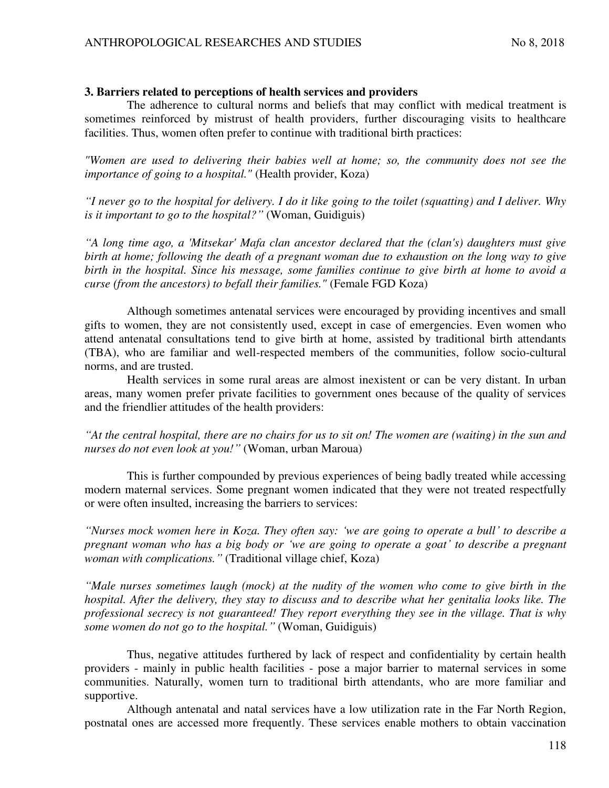# **3. Barriers related to perceptions of health services and providers**

The adherence to cultural norms and beliefs that may conflict with medical treatment is sometimes reinforced by mistrust of health providers, further discouraging visits to healthcare facilities. Thus, women often prefer to continue with traditional birth practices:

*"Women are used to delivering their babies well at home; so, the community does not see the importance of going to a hospital."* (Health provider, Koza)

*"I never go to the hospital for delivery. I do it like going to the toilet (squatting) and I deliver. Why is it important to go to the hospital?"* (Woman, Guidiguis)

*"A long time ago, a 'Mitsekar' Mafa clan ancestor declared that the (clan's) daughters must give birth at home; following the death of a pregnant woman due to exhaustion on the long way to give birth in the hospital. Since his message, some families continue to give birth at home to avoid a curse (from the ancestors) to befall their families."* (Female FGD Koza)

Although sometimes antenatal services were encouraged by providing incentives and small gifts to women, they are not consistently used, except in case of emergencies. Even women who attend antenatal consultations tend to give birth at home, assisted by traditional birth attendants (TBA), who are familiar and well-respected members of the communities, follow socio-cultural norms, and are trusted.

Health services in some rural areas are almost inexistent or can be very distant. In urban areas, many women prefer private facilities to government ones because of the quality of services and the friendlier attitudes of the health providers:

*"At the central hospital, there are no chairs for us to sit on! The women are (waiting) in the sun and nurses do not even look at you!"* (Woman, urban Maroua)

This is further compounded by previous experiences of being badly treated while accessing modern maternal services. Some pregnant women indicated that they were not treated respectfully or were often insulted, increasing the barriers to services:

*"Nurses mock women here in Koza. They often say: 'we are going to operate a bull' to describe a pregnant woman who has a big body or 'we are going to operate a goat' to describe a pregnant woman with complications."* (Traditional village chief, Koza)

*"Male nurses sometimes laugh (mock) at the nudity of the women who come to give birth in the hospital. After the delivery, they stay to discuss and to describe what her genitalia looks like. The professional secrecy is not guaranteed! They report everything they see in the village. That is why some women do not go to the hospital."* (Woman, Guidiguis)

Thus, negative attitudes furthered by lack of respect and confidentiality by certain health providers - mainly in public health facilities - pose a major barrier to maternal services in some communities. Naturally, women turn to traditional birth attendants, who are more familiar and supportive.

Although antenatal and natal services have a low utilization rate in the Far North Region, postnatal ones are accessed more frequently. These services enable mothers to obtain vaccination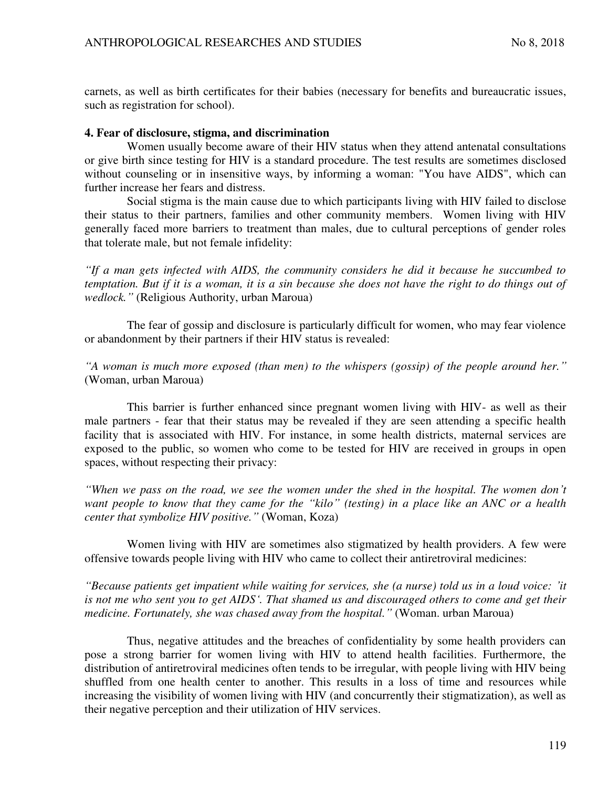carnets, as well as birth certificates for their babies (necessary for benefits and bureaucratic issues, such as registration for school).

### **4. Fear of disclosure, stigma, and discrimination**

Women usually become aware of their HIV status when they attend antenatal consultations or give birth since testing for HIV is a standard procedure. The test results are sometimes disclosed without counseling or in insensitive ways, by informing a woman: "You have AIDS", which can further increase her fears and distress.

Social stigma is the main cause due to which participants living with HIV failed to disclose their status to their partners, families and other community members. Women living with HIV generally faced more barriers to treatment than males, due to cultural perceptions of gender roles that tolerate male, but not female infidelity:

*"If a man gets infected with AIDS, the community considers he did it because he succumbed to temptation. But if it is a woman, it is a sin because she does not have the right to do things out of wedlock."* (Religious Authority, urban Maroua)

The fear of gossip and disclosure is particularly difficult for women, who may fear violence or abandonment by their partners if their HIV status is revealed:

*"A woman is much more exposed (than men) to the whispers (gossip) of the people around her."* (Woman, urban Maroua)

This barrier is further enhanced since pregnant women living with HIV- as well as their male partners - fear that their status may be revealed if they are seen attending a specific health facility that is associated with HIV. For instance, in some health districts, maternal services are exposed to the public, so women who come to be tested for HIV are received in groups in open spaces, without respecting their privacy:

*"When we pass on the road, we see the women under the shed in the hospital. The women don't want people to know that they came for the "kilo" (testing) in a place like an ANC or a health center that symbolize HIV positive."* (Woman, Koza)

Women living with HIV are sometimes also stigmatized by health providers. A few were offensive towards people living with HIV who came to collect their antiretroviral medicines:

*"Because patients get impatient while waiting for services, she (a nurse) told us in a loud voice: 'it is not me who sent you to get AIDS'. That shamed us and discouraged others to come and get their medicine. Fortunately, she was chased away from the hospital."* (Woman. urban Maroua)

Thus, negative attitudes and the breaches of confidentiality by some health providers can pose a strong barrier for women living with HIV to attend health facilities. Furthermore, the distribution of antiretroviral medicines often tends to be irregular, with people living with HIV being shuffled from one health center to another. This results in a loss of time and resources while increasing the visibility of women living with HIV (and concurrently their stigmatization), as well as their negative perception and their utilization of HIV services.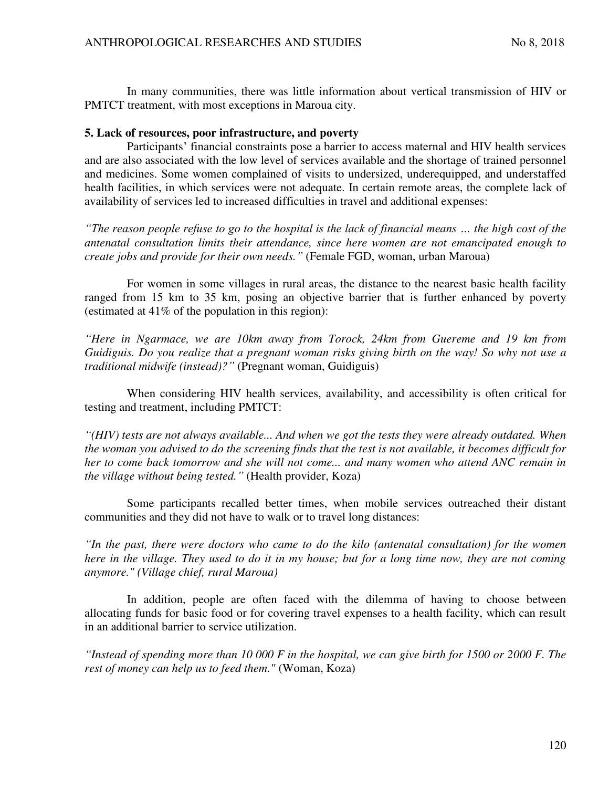In many communities, there was little information about vertical transmission of HIV or PMTCT treatment, with most exceptions in Maroua city.

# **5. Lack of resources, poor infrastructure, and poverty**

Participants' financial constraints pose a barrier to access maternal and HIV health services and are also associated with the low level of services available and the shortage of trained personnel and medicines. Some women complained of visits to undersized, underequipped, and understaffed health facilities, in which services were not adequate. In certain remote areas, the complete lack of availability of services led to increased difficulties in travel and additional expenses:

*"The reason people refuse to go to the hospital is the lack of financial means … the high cost of the antenatal consultation limits their attendance, since here women are not emancipated enough to create jobs and provide for their own needs."* (Female FGD, woman, urban Maroua)

For women in some villages in rural areas, the distance to the nearest basic health facility ranged from 15 km to 35 km, posing an objective barrier that is further enhanced by poverty (estimated at 41% of the population in this region):

*"Here in Ngarmace, we are 10km away from Torock, 24km from Guereme and 19 km from Guidiguis. Do you realize that a pregnant woman risks giving birth on the way! So why not use a traditional midwife (instead)?"* (Pregnant woman, Guidiguis)

When considering HIV health services, availability, and accessibility is often critical for testing and treatment, including PMTCT:

*"(HIV) tests are not always available... And when we got the tests they were already outdated. When the woman you advised to do the screening finds that the test is not available, it becomes difficult for her to come back tomorrow and she will not come... and many women who attend ANC remain in the village without being tested."* (Health provider, Koza)

Some participants recalled better times, when mobile services outreached their distant communities and they did not have to walk or to travel long distances:

*"In the past, there were doctors who came to do the kilo (antenatal consultation) for the women here in the village. They used to do it in my house; but for a long time now, they are not coming anymore." (Village chief, rural Maroua)*

In addition, people are often faced with the dilemma of having to choose between allocating funds for basic food or for covering travel expenses to a health facility, which can result in an additional barrier to service utilization.

*"Instead of spending more than 10 000 F in the hospital, we can give birth for 1500 or 2000 F. The rest of money can help us to feed them."* (Woman, Koza)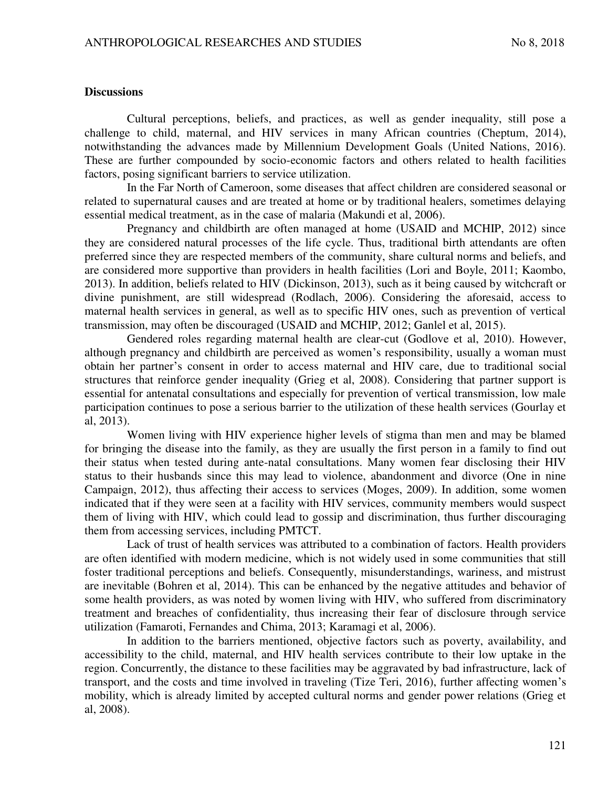### **Discussions**

Cultural perceptions, beliefs, and practices, as well as gender inequality, still pose a challenge to child, maternal, and HIV services in many African countries (Cheptum, 2014), notwithstanding the advances made by Millennium Development Goals (United Nations, 2016). These are further compounded by socio-economic factors and others related to health facilities factors, posing significant barriers to service utilization.

In the Far North of Cameroon, some diseases that affect children are considered seasonal or related to supernatural causes and are treated at home or by traditional healers, sometimes delaying essential medical treatment, as in the case of malaria (Makundi et al, 2006).

Pregnancy and childbirth are often managed at home (USAID and MCHIP, 2012) since they are considered natural processes of the life cycle. Thus, traditional birth attendants are often preferred since they are respected members of the community, share cultural norms and beliefs, and are considered more supportive than providers in health facilities (Lori and Boyle, 2011; Kaombo, 2013). In addition, beliefs related to HIV (Dickinson, 2013), such as it being caused by witchcraft or divine punishment, are still widespread (Rodlach, 2006). Considering the aforesaid, access to maternal health services in general, as well as to specific HIV ones, such as prevention of vertical transmission, may often be discouraged (USAID and MCHIP, 2012; Ganlel et al, 2015).

Gendered roles regarding maternal health are clear-cut (Godlove et al, 2010). However, although pregnancy and childbirth are perceived as women's responsibility, usually a woman must obtain her partner's consent in order to access maternal and HIV care, due to traditional social structures that reinforce gender inequality (Grieg et al, 2008). Considering that partner support is essential for antenatal consultations and especially for prevention of vertical transmission, low male participation continues to pose a serious barrier to the utilization of these health services (Gourlay et al, 2013).

Women living with HIV experience higher levels of stigma than men and may be blamed for bringing the disease into the family, as they are usually the first person in a family to find out their status when tested during ante-natal consultations. Many women fear disclosing their HIV status to their husbands since this may lead to violence, abandonment and divorce (One in nine Campaign, 2012), thus affecting their access to services (Moges, 2009). In addition, some women indicated that if they were seen at a facility with HIV services, community members would suspect them of living with HIV, which could lead to gossip and discrimination, thus further discouraging them from accessing services, including PMTCT.

Lack of trust of health services was attributed to a combination of factors. Health providers are often identified with modern medicine, which is not widely used in some communities that still foster traditional perceptions and beliefs. Consequently, misunderstandings, wariness, and mistrust are inevitable (Bohren et al, 2014). This can be enhanced by the negative attitudes and behavior of some health providers, as was noted by women living with HIV, who suffered from discriminatory treatment and breaches of confidentiality, thus increasing their fear of disclosure through service utilization (Famaroti, Fernandes and Chima, 2013; Karamagi et al, 2006).

In addition to the barriers mentioned, objective factors such as poverty, availability, and accessibility to the child, maternal, and HIV health services contribute to their low uptake in the region. Concurrently, the distance to these facilities may be aggravated by bad infrastructure, lack of transport, and the costs and time involved in traveling (Tize Teri, 2016), further affecting women's mobility, which is already limited by accepted cultural norms and gender power relations (Grieg et al, 2008).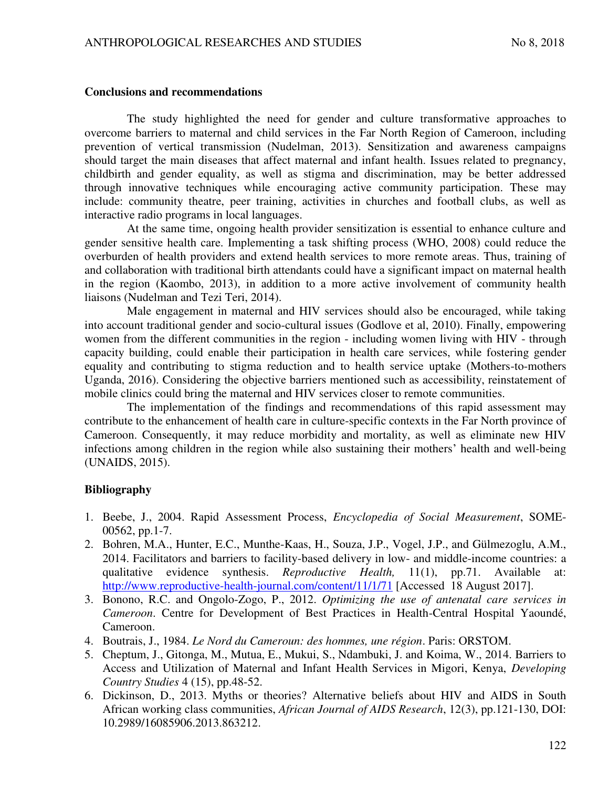### **Conclusions and recommendations**

The study highlighted the need for gender and culture transformative approaches to overcome barriers to maternal and child services in the Far North Region of Cameroon, including prevention of vertical transmission (Nudelman, 2013). Sensitization and awareness campaigns should target the main diseases that affect maternal and infant health. Issues related to pregnancy, childbirth and gender equality, as well as stigma and discrimination, may be better addressed through innovative techniques while encouraging active community participation. These may include: community theatre, peer training, activities in churches and football clubs, as well as interactive radio programs in local languages.

At the same time, ongoing health provider sensitization is essential to enhance culture and gender sensitive health care. Implementing a task shifting process (WHO, 2008) could reduce the overburden of health providers and extend health services to more remote areas. Thus, training of and collaboration with traditional birth attendants could have a significant impact on maternal health in the region (Kaombo, 2013), in addition to a more active involvement of community health liaisons (Nudelman and Tezi Teri, 2014).

Male engagement in maternal and HIV services should also be encouraged, while taking into account traditional gender and socio-cultural issues (Godlove et al, 2010). Finally, empowering women from the different communities in the region - including women living with HIV - through capacity building, could enable their participation in health care services, while fostering gender equality and contributing to stigma reduction and to health service uptake (Mothers-to-mothers Uganda, 2016). Considering the objective barriers mentioned such as accessibility, reinstatement of mobile clinics could bring the maternal and HIV services closer to remote communities.

The implementation of the findings and recommendations of this rapid assessment may contribute to the enhancement of health care in culture-specific contexts in the Far North province of Cameroon. Consequently, it may reduce morbidity and mortality, as well as eliminate new HIV infections among children in the region while also sustaining their mothers' health and well-being (UNAIDS, 2015).

# **Bibliography**

- 1. Beebe, J., 2004. Rapid Assessment Process, *Encyclopedia of Social Measurement*, SOME-00562, pp.1-7.
- 2. Bohren, M.A., Hunter, E.C., Munthe-Kaas, H., Souza, J.P., Vogel, J.P., and Gülmezoglu, A.M., 2014. Facilitators and barriers to facility-based delivery in low- and middle-income countries: a qualitative evidence synthesis. *Reproductive Health,* 11(1), pp.71. Available at: <http://www.reproductive-health-journal.com/content/11/1/71>[Accessed 18 August 2017].
- 3. Bonono, R.C. and Ongolo-Zogo, P., 2012. *Optimizing the use of antenatal care services in Cameroon*. Centre for Development of Best Practices in Health-Central Hospital Yaoundé, Cameroon.
- 4. Boutrais, J., 1984. *Le Nord du Cameroun: des hommes, une région*. Paris: ORSTOM.
- 5. Cheptum, J., Gitonga, M., Mutua, E., Mukui, S., Ndambuki, J. and Koima, W., 2014. Barriers to Access and Utilization of Maternal and Infant Health Services in Migori, Kenya, *Developing Country Studies* 4 (15), pp.48-52.
- 6. Dickinson, D., 2013. Myths or theories? Alternative beliefs about HIV and AIDS in South African working class communities, *African Journal of AIDS Research*, 12(3), pp.121-130, DOI: 10.2989/16085906.2013.863212.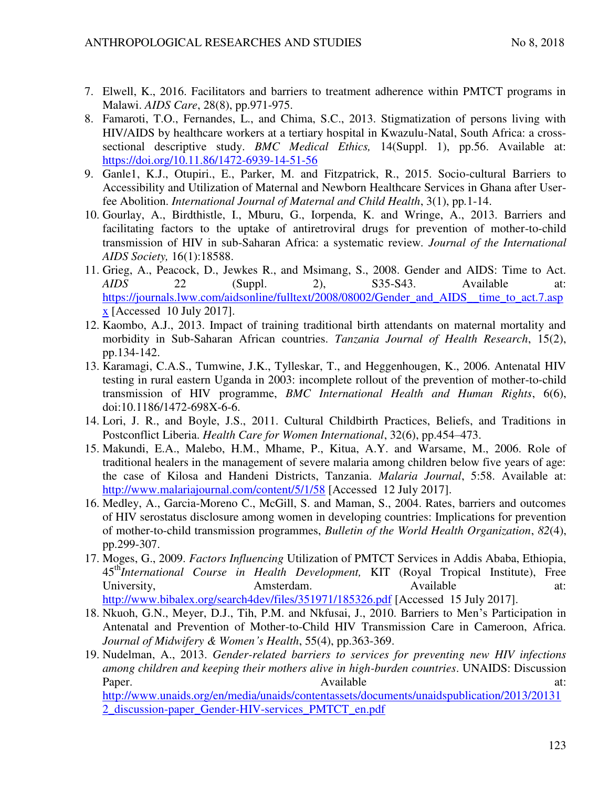- 7. Elwell, K., 2016. Facilitators and barriers to treatment adherence within PMTCT programs in Malawi. *AIDS Care*, 28(8), pp.971-975.
- 8. Famaroti, T.O., Fernandes, L., and Chima, S.C., 2013. Stigmatization of persons living with HIV/AIDS by healthcare workers at a tertiary hospital in Kwazulu-Natal, South Africa: a crosssectional descriptive study. *BMC Medical Ethics,* 14(Suppl. 1), pp.56. Available at: <https://doi.org/10.11.86/1472-6939-14-51-56>
- 9. Ganle1, K.J., Otupiri., E., Parker, M. and Fitzpatrick, R., 2015. Socio-cultural Barriers to Accessibility and Utilization of Maternal and Newborn Healthcare Services in Ghana after Userfee Abolition. *International Journal of Maternal and Child Health*, 3(1), pp*.*1-14.
- 10. Gourlay, A., Birdthistle, I., Mburu, G., Iorpenda, K. and Wringe, A., 2013. Barriers and facilitating factors to the uptake of antiretroviral drugs for prevention of mother-to-child transmission of HIV in sub-Saharan Africa: a systematic review*. Journal of the International AIDS Society,* 16(1):18588.
- 11. Grieg, A., Peacock, D., Jewkes R., and Msimang, S., 2008. Gender and AIDS: Time to Act. *AIDS* 22 (Suppl. 2), S35-S43. Available at: [https://journals.lww.com/aidsonline/fulltext/2008/08002/Gender\\_and\\_AIDS\\_\\_time\\_to\\_act.7.asp](https://journals.lww.com/aidsonline/fulltext/2008/08002/Gender_and_AIDS__time_to_act.7.aspx) [x](https://journals.lww.com/aidsonline/fulltext/2008/08002/Gender_and_AIDS__time_to_act.7.aspx) [Accessed 10 July 2017].
- 12. Kaombo, A.J., 2013. Impact of training traditional birth attendants on maternal mortality and morbidity in Sub-Saharan African countries. *Tanzania Journal of Health Research*, 15(2), pp.134-142.
- 13. Karamagi, C.A.S., Tumwine, J.K., Tylleskar, T., and Heggenhougen, K., 2006. Antenatal HIV testing in rural eastern Uganda in 2003: incomplete rollout of the prevention of mother-to-child transmission of HIV programme, *BMC International Health and Human Rights*, 6(6), doi:10.1186/1472-698X-6-6.
- 14. Lori, J. R., and Boyle, J.S., 2011. Cultural Childbirth Practices, Beliefs, and Traditions in Postconflict Liberia. *Health Care for Women International*, 32(6), pp.454–473.
- 15. Makundi, E.A., Malebo, H.M., Mhame, P., Kitua, A.Y. and Warsame, M., 2006. Role of traditional healers in the management of severe malaria among children below five years of age: the case of Kilosa and Handeni Districts, Tanzania. *Malaria Journal*, 5:58. Available at: <http://www.malariajournal.com/content/5/1/58>[Accessed 12 July 2017].
- 16. Medley, A., Garcia-Moreno C., McGill, S. and Maman, S., 2004. Rates, barriers and outcomes of HIV serostatus disclosure among women in developing countries: Implications for prevention of mother-to-child transmission programmes, *Bulletin of the World Health Organization*, *82*(4), pp.299-307.
- 17. Moges, G., 2009. *Factors Influencing* Utilization of PMTCT Services in Addis Ababa, Ethiopia, 45th*International Course in Health Development,* KIT (Royal Tropical Institute), Free University, Amsterdam. Available at:
	- <http://www.bibalex.org/search4dev/files/351971/185326.pdf>[Accessed 15 July 2017].
- 18. Nkuoh, G.N., Meyer, D.J., Tih, P.M. and Nkfusai, J., 2010. Barriers to Men's Participation in Antenatal and Prevention of Mother-to-Child HIV Transmission Care in Cameroon, Africa. *Journal of Midwifery & Women's Health*, 55(4), pp.363-369.
- 19. Nudelman, A., 2013. *Gender-related barriers to services for preventing new HIV infections among children and keeping their mothers alive in high-burden countries*. UNAIDS: Discussion Paper. at: Available at: Available at: at: [http://www.unaids.org/en/media/unaids/contentassets/documents/unaidspublication/2013/20131](http://www.unaids.org/en/media/unaids/contentassets/documents/unaidspublication/2013/201312_discussion-paper_Gender-HIV-services_PMTCT_en.pdf) [2\\_discussion-paper\\_Gender-HIV-services\\_PMTCT\\_en.pdf](http://www.unaids.org/en/media/unaids/contentassets/documents/unaidspublication/2013/201312_discussion-paper_Gender-HIV-services_PMTCT_en.pdf)